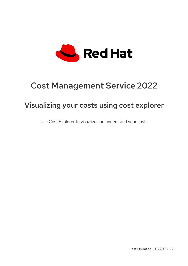

# Cost Management Service 2022

## Visualizing your costs using cost explorer

Use Cost Explorer to visualize and understand your costs

Last Updated: 2022-03-18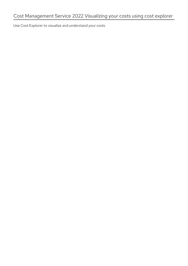Use Cost Explorer to visualize and understand your costs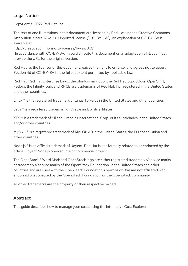## Legal Notice

Copyright © 2022 Red Hat, Inc.

The text of and illustrations in this document are licensed by Red Hat under a Creative Commons Attribution–Share Alike 3.0 Unported license ("CC-BY-SA"). An explanation of CC-BY-SA is available at

http://creativecommons.org/licenses/by-sa/3.0/

. In accordance with CC-BY-SA, if you distribute this document or an adaptation of it, you must provide the URL for the original version.

Red Hat, as the licensor of this document, waives the right to enforce, and agrees not to assert, Section 4d of CC-BY-SA to the fullest extent permitted by applicable law.

Red Hat, Red Hat Enterprise Linux, the Shadowman logo, the Red Hat logo, JBoss, OpenShift, Fedora, the Infinity logo, and RHCE are trademarks of Red Hat, Inc., registered in the United States and other countries.

Linux ® is the registered trademark of Linus Torvalds in the United States and other countries.

Java ® is a registered trademark of Oracle and/or its affiliates.

XFS ® is a trademark of Silicon Graphics International Corp. or its subsidiaries in the United States and/or other countries.

MySQL<sup>®</sup> is a registered trademark of MySQL AB in the United States, the European Union and other countries.

Node.js ® is an official trademark of Joyent. Red Hat is not formally related to or endorsed by the official Joyent Node.js open source or commercial project.

The OpenStack ® Word Mark and OpenStack logo are either registered trademarks/service marks or trademarks/service marks of the OpenStack Foundation, in the United States and other countries and are used with the OpenStack Foundation's permission. We are not affiliated with, endorsed or sponsored by the OpenStack Foundation, or the OpenStack community.

All other trademarks are the property of their respective owners.

### Abstract

This guide describes how to manage your costs using the interactive Cost Explorer.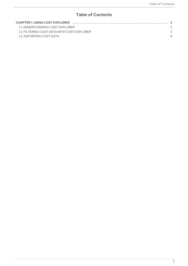## Table of Contents

| <b>CHAPTER 1. USING COST EXPLORER</b>       |  |
|---------------------------------------------|--|
| 1.1. UNDERSTANDING COST EXPLORER            |  |
| 1.2. FILTERING COST DATA WITH COST EXPLORER |  |
| 1.3. EXPORTING COST DATA                    |  |
|                                             |  |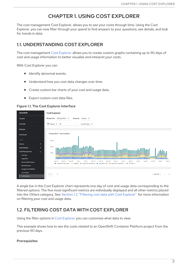## CHAPTER 1. USING COST EXPLORER

<span id="page-6-0"></span>The cost management Cost Explorer, allows you to see your costs through time. Using the Cost Explorer, you can now filter through your spend to find answers to your questions, see details, and look for trends in data.

## <span id="page-6-1"></span>1.1. UNDERSTANDING COST EXPLORER

The cost management Cost [Explorer](https://console.redhat.com/openshift/cost-management/explorer) allows you to create custom graphs containing up to 90 days of cost and usage information to better visualize and interpret your costs.

With Cost Explorer you can:

- **•** Identify abnormal events.
- $\bullet$ Understand how you cost data changes over time.
- Create custom bar charts of your cost and usage data.
- Export custom cost data files.

#### Figure 1.1. The Cost Explorer Interface



A single bar in the Cost Explorer chart represents one day of cost and usage data corresponding to the filtered options. The five most significant metrics are individually displayed and all other metrics placed into the *Others* category. See Section 1.2, "Filtering cost data with Cost [Explorer"](#page-7-1) for more information on filtering your cost and usage data.

## <span id="page-6-2"></span>1.2. FILTERING COST DATA WITH COST EXPLORER

Using the filter options in Cost [Explorer](https://console.redhat.com/openshift/cost-management/explorer) you can customize what data to view.

This example shows how to see the costs related to an OpenShift Container Platform project from the previous 90 days.

#### **Prerequisites**